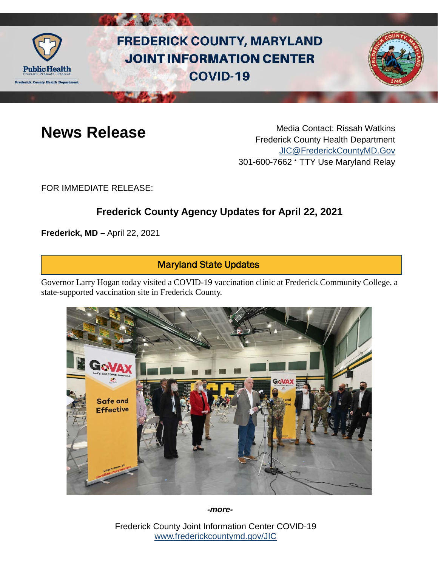

# **FREDERICK COUNTY, MARYLAND JOINT INFORMATION CENTER COVID-19**



**News Release** Media Contact: Rissah Watkins Frederick County Health Department [JIC@FrederickCountyMD.Gov](mailto:JIC@FrederickCountyMD.Gov) 301-600-7662 • TTY Use Maryland Relay

FOR IMMEDIATE RELEASE:

## **Frederick County Agency Updates for April 22, 2021**

**Frederick, MD –** April 22, 2021

#### Maryland State Updates

Governor Larry Hogan today visited a COVID-19 vaccination clinic at Frederick Community College, a state-supported vaccination site in Frederick County.



*-more-*

Frederick County Joint Information Center COVID-19 [www.frederickcountymd.gov/JIC](https://frederickcountymd.gov/JIC)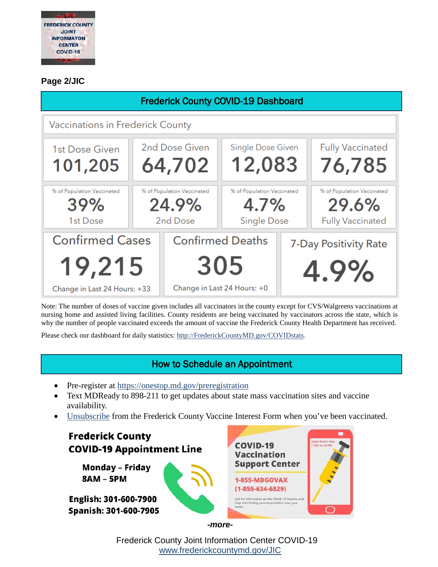

#### **Page 2/JIC**

| <b>Frederick County COVID-19 Dashboard</b> |                            |                             |                            |                       |                            |
|--------------------------------------------|----------------------------|-----------------------------|----------------------------|-----------------------|----------------------------|
| Vaccinations in Frederick County           |                            |                             |                            |                       |                            |
| 1st Dose Given                             | 2nd Dose Given             |                             | Single Dose Given          |                       | <b>Fully Vaccinated</b>    |
| 101,205                                    | 64,702                     |                             | 12,083                     |                       | 76,785                     |
| % of Population Vaccinated                 | % of Population Vaccinated |                             | % of Population Vaccinated |                       | % of Population Vaccinated |
| 39%                                        | 24.9%                      |                             | 4.7%                       |                       | 29.6%                      |
| 1st Dose                                   | 2nd Dose                   |                             | <b>Single Dose</b>         |                       | <b>Fully Vaccinated</b>    |
| <b>Confirmed Cases</b>                     |                            | <b>Confirmed Deaths</b>     |                            | 7-Day Positivity Rate |                            |
| 19,215                                     |                            | 305                         |                            | 4.9%                  |                            |
| Change in Last 24 Hours: +33               |                            | Change in Last 24 Hours: +0 |                            |                       |                            |

Note: The number of doses of vaccine given includes all vaccinators in the county except for CVS/Walgreens vaccinations at nursing home and assisted living facilities. County residents are being vaccinated by vaccinators across the state, which is why the number of people vaccinated exceeds the amount of vaccine the Frederick County Health Department has received.

Please check our dashboard for daily statistics: [http://FrederickCountyMD.gov/COVIDstats.](http://frederickcountymd.gov/COVIDstats)

#### How to Schedule an Appointment

- Pre-register at<https://onestop.md.gov/preregistration>
- Text MDReady to 898-211 to get updates about state mass vaccination sites and vaccine availability.
- [Unsubscribe](https://ww3.frederickcountymd.gov/VaccineInterestUnsubscribe) from the Frederick County Vaccine Interest Form when you've been vaccinated.

**Frederick County COVID-19 COVID-19 Appointment Line Vaccination Support Center** Monday - Friday **8AM - 5PM** 1-855-MDGOVAX  $(1 - 855 - 634 - 6829)$ English: 301-600-7900 mation on the COVID-19 Vaccine and Spanish: 301-600-7905  $\bigcap$ *-more-*

> Frederick County Joint Information Center COVID-19 [www.frederickcountymd.gov/JIC](https://frederickcountymd.gov/JIC)